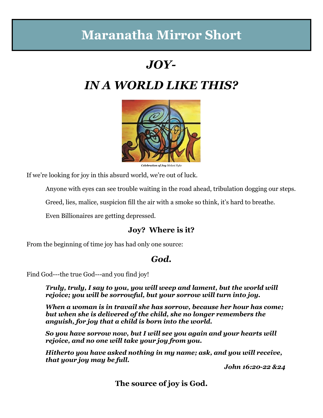# **Maranatha Mirror Short**

## *JOY-*

# *IN A WORLD LIKE THIS?*



*Celebration of Joy Melani Pyke*

If we're looking for joy in this absurd world, we're out of luck.

Anyone with eyes can see trouble waiting in the road ahead, tribulation dogging our steps.

Greed, lies, malice, suspicion fill the air with a smoke so think, it's hard to breathe.

Even Billionaires are getting depressed.

### **Joy? Where is it?**

From the beginning of time joy has had only one source:

### *God.*

Find God---the true God---and you find joy!

*Truly, truly, I say to you, you will weep and lament, but the world will rejoice; you will be sorrowful, but your sorrow will turn into joy.* 

*When a woman is in travail she has sorrow, because her hour has come; but when she is delivered of the child, she no longer remembers the anguish, for joy that a child is born into the world.* 

*So you have sorrow now, but I will see you again and your hearts will rejoice, and no one will take your joy from you.* 

*Hitherto you have asked nothing in my name; ask, and you will receive, that your joy may be full.* 

*John 16:20-22 &24*

**The source of joy is God.**